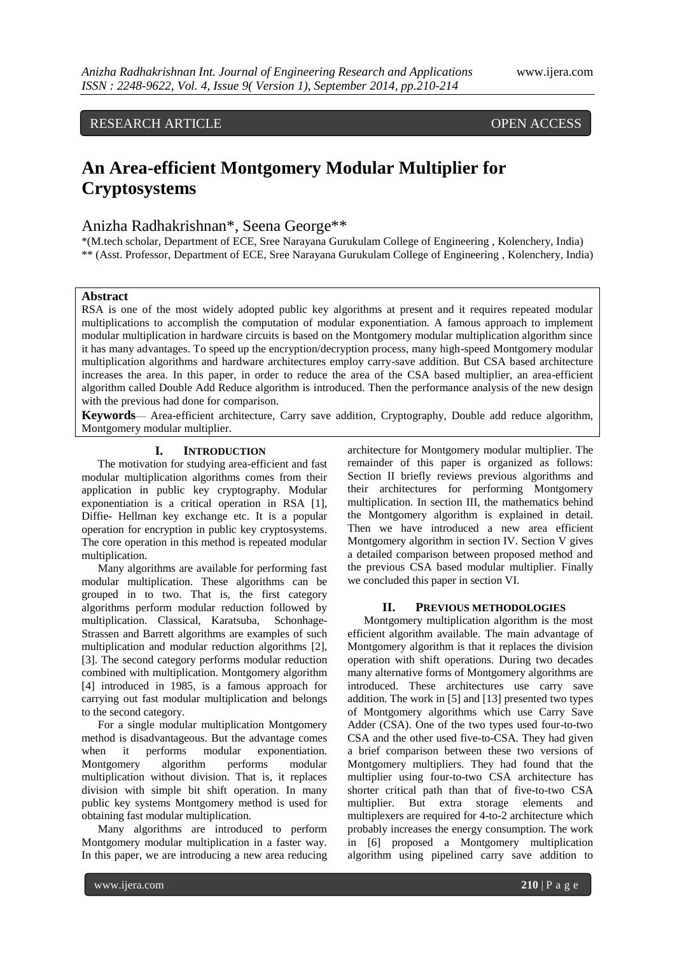RESEARCH ARTICLE OPEN ACCESS

# **An Area-efficient Montgomery Modular Multiplier for Cryptosystems**

# Anizha Radhakrishnan\*, Seena George\*\*

\*(M.tech scholar, Department of ECE, Sree Narayana Gurukulam College of Engineering , Kolenchery, India) \*\* (Asst. Professor, Department of ECE, Sree Narayana Gurukulam College of Engineering , Kolenchery, India)

# **Abstract**

RSA is one of the most widely adopted public key algorithms at present and it requires repeated modular multiplications to accomplish the computation of modular exponentiation. A famous approach to implement modular multiplication in hardware circuits is based on the Montgomery modular multiplication algorithm since it has many advantages. To speed up the encryption/decryption process, many high-speed Montgomery modular multiplication algorithms and hardware architectures employ carry-save addition. But CSA based architecture increases the area. In this paper, in order to reduce the area of the CSA based multiplier, an area-efficient algorithm called Double Add Reduce algorithm is introduced. Then the performance analysis of the new design with the previous had done for comparison.

**Keywords**— Area-efficient architecture, Carry save addition, Cryptography, Double add reduce algorithm, Montgomery modular multiplier.

# **I. INTRODUCTION**

The motivation for studying area-efficient and fast modular multiplication algorithms comes from their application in public key cryptography. Modular exponentiation is a critical operation in RSA [1], Diffie- Hellman key exchange etc. It is a popular operation for encryption in public key cryptosystems. The core operation in this method is repeated modular multiplication.

Many algorithms are available for performing fast modular multiplication. These algorithms can be grouped in to two. That is, the first category algorithms perform modular reduction followed by multiplication. Classical, Karatsuba, Schonhage-Strassen and Barrett algorithms are examples of such multiplication and modular reduction algorithms [2], [3]. The second category performs modular reduction combined with multiplication. Montgomery algorithm [4] introduced in 1985, is a famous approach for carrying out fast modular multiplication and belongs to the second category.

For a single modular multiplication Montgomery method is disadvantageous. But the advantage comes when it performs modular exponentiation.<br>Montgomery algorithm performs modular Montgomery algorithm performs modular multiplication without division. That is, it replaces division with simple bit shift operation. In many public key systems Montgomery method is used for obtaining fast modular multiplication.

Many algorithms are introduced to perform Montgomery modular multiplication in a faster way. In this paper, we are introducing a new area reducing architecture for Montgomery modular multiplier. The remainder of this paper is organized as follows: Section II briefly reviews previous algorithms and their architectures for performing Montgomery multiplication. In section III, the mathematics behind the Montgomery algorithm is explained in detail. Then we have introduced a new area efficient Montgomery algorithm in section IV. Section V gives a detailed comparison between proposed method and the previous CSA based modular multiplier. Finally we concluded this paper in section VI.

### **II. PREVIOUS METHODOLOGIES**

Montgomery multiplication algorithm is the most efficient algorithm available. The main advantage of Montgomery algorithm is that it replaces the division operation with shift operations. During two decades many alternative forms of Montgomery algorithms are introduced. These architectures use carry save addition. The work in [5] and [13] presented two types of Montgomery algorithms which use Carry Save Adder (CSA). One of the two types used four-to-two CSA and the other used five-to-CSA. They had given a brief comparison between these two versions of Montgomery multipliers. They had found that the multiplier using four-to-two CSA architecture has shorter critical path than that of five-to-two CSA multiplier. But extra storage elements and multiplexers are required for 4-to-2 architecture which probably increases the energy consumption. The work in [6] proposed a Montgomery multiplication algorithm using pipelined carry save addition to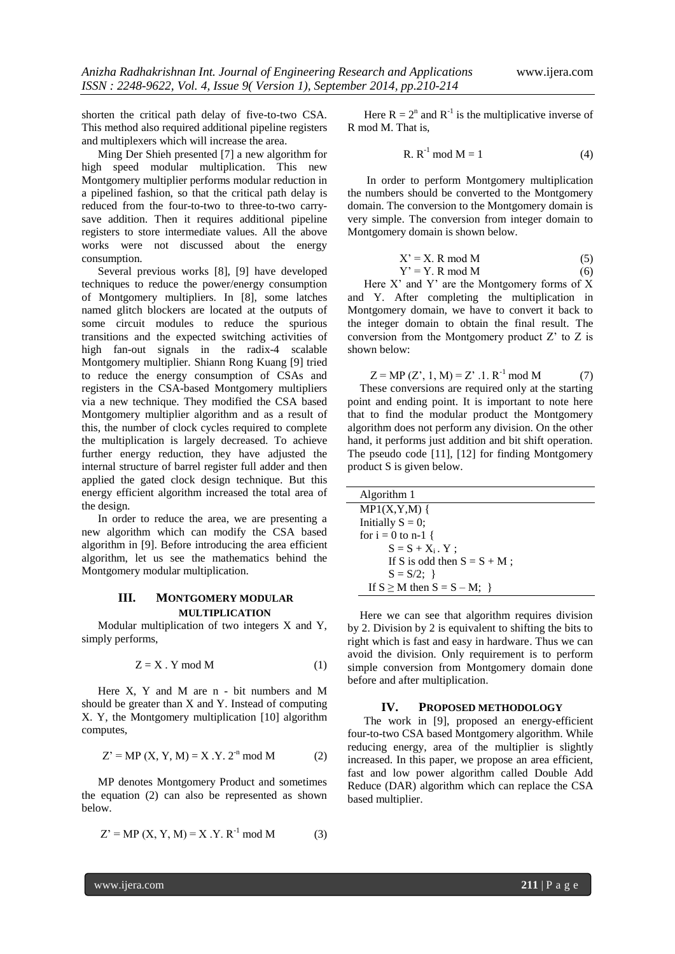shorten the critical path delay of five-to-two CSA. This method also required additional pipeline registers and multiplexers which will increase the area.

Ming Der Shieh presented [7] a new algorithm for high speed modular multiplication. This new Montgomery multiplier performs modular reduction in a pipelined fashion, so that the critical path delay is reduced from the four-to-two to three-to-two carrysave addition. Then it requires additional pipeline registers to store intermediate values. All the above works were not discussed about the energy consumption.

Several previous works [8], [9] have developed techniques to reduce the power/energy consumption of Montgomery multipliers. In [8], some latches named glitch blockers are located at the outputs of some circuit modules to reduce the spurious transitions and the expected switching activities of high fan-out signals in the radix-4 scalable Montgomery multiplier. Shiann Rong Kuang [9] tried to reduce the energy consumption of CSAs and registers in the CSA-based Montgomery multipliers via a new technique. They modified the CSA based Montgomery multiplier algorithm and as a result of this, the number of clock cycles required to complete the multiplication is largely decreased. To achieve further energy reduction, they have adjusted the internal structure of barrel register full adder and then applied the gated clock design technique. But this energy efficient algorithm increased the total area of the design.

In order to reduce the area, we are presenting a new algorithm which can modify the CSA based algorithm in [9]. Before introducing the area efficient algorithm, let us see the mathematics behind the Montgomery modular multiplication.

# **III. MONTGOMERY MODULAR MULTIPLICATION**

Modular multiplication of two integers X and Y, simply performs,

$$
Z = X \cdot Y \mod M \tag{1}
$$

Here X, Y and M are n - bit numbers and M should be greater than X and Y. Instead of computing X. Y, the Montgomery multiplication [10] algorithm computes,

$$
Z' = MP(X, Y, M) = X . Y. 2-n mod M
$$
 (2)

MP denotes Montgomery Product and sometimes the equation (2) can also be represented as shown below.

$$
Z' = MP(X, Y, M) = X . Y. R^{-1} mod M
$$
 (3)

Here  $R = 2^n$  and  $R^{-1}$  is the multiplicative inverse of R mod M. That is,

R. 
$$
R^{-1} \mod M = 1
$$
 (4)

In order to perform Montgomery multiplication the numbers should be converted to the Montgomery domain. The conversion to the Montgomery domain is very simple. The conversion from integer domain to Montgomery domain is shown below.

$$
X' = X. R \text{ mod } M \tag{5}
$$

$$
Y' = Y. R \text{ mod } M \tag{6}
$$

Here  $X'$  and  $Y'$  are the Montgomery forms of  $X$ and Y. After completing the multiplication in Montgomery domain, we have to convert it back to the integer domain to obtain the final result. The conversion from the Montgomery product Z' to Z is shown below:

$$
Z = MP(Z', 1, M) = Z' .1. R^{-1} \mod M \tag{7}
$$

These conversions are required only at the starting point and ending point. It is important to note here that to find the modular product the Montgomery algorithm does not perform any division. On the other hand, it performs just addition and bit shift operation. The pseudo code [11], [12] for finding Montgomery product S is given below.

| Algorithm 1                        |
|------------------------------------|
| $MP1(X,Y,M)$ {                     |
| Initially $S = 0$ ;                |
| for $i = 0$ to n-1 {               |
| $S = S + X_i$ . Y ;                |
| If S is odd then $S = S + M$ ;     |
| $S = S/2$ ; }                      |
| If $S \geq M$ then $S = S - M$ ; } |

Here we can see that algorithm requires division by 2. Division by 2 is equivalent to shifting the bits to right which is fast and easy in hardware. Thus we can avoid the division. Only requirement is to perform simple conversion from Montgomery domain done before and after multiplication.

## **IV. PROPOSED METHODOLOGY**

The work in [9], proposed an energy-efficient four-to-two CSA based Montgomery algorithm. While reducing energy, area of the multiplier is slightly increased. In this paper, we propose an area efficient, fast and low power algorithm called Double Add Reduce (DAR) algorithm which can replace the CSA based multiplier.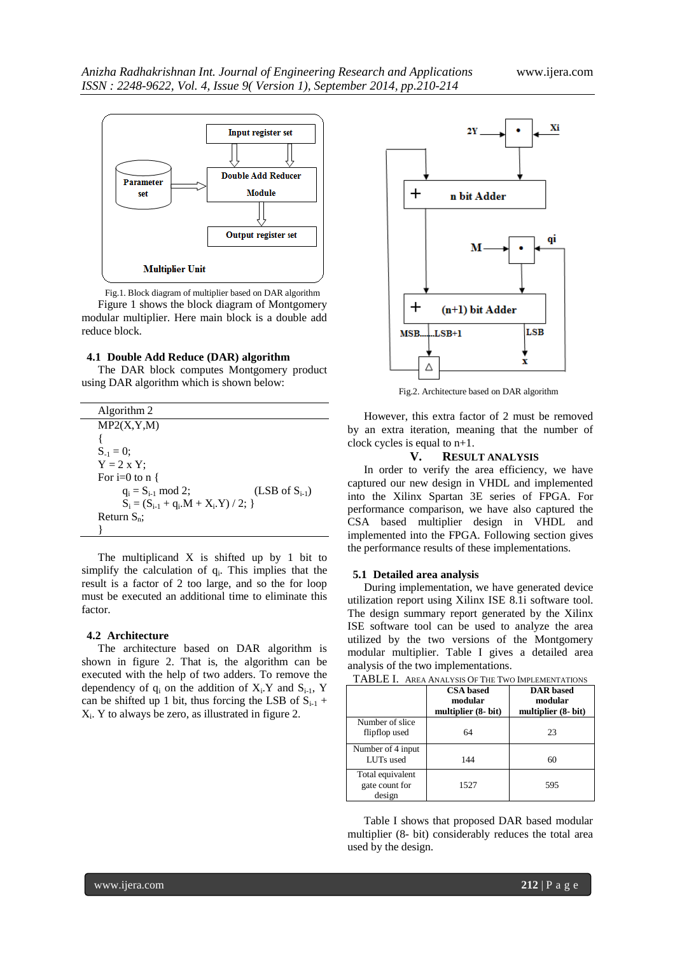

Fig.1. Block diagram of multiplier based on DAR algorithm Figure 1 shows the block diagram of Montgomery modular multiplier. Here main block is a double add reduce block.

# **4.1 Double Add Reduce (DAR) algorithm**

The DAR block computes Montgomery product using DAR algorithm which is shown below:

| Algorithm 2                          |                             |
|--------------------------------------|-----------------------------|
| MP2(X, Y, M)                         |                             |
|                                      |                             |
| $S_{-1} = 0$ ;                       |                             |
| $Y = 2 \times Y$ ;                   |                             |
| For i=0 to $n \nvert$                |                             |
| $q_i = S_{i-1} \mod 2;$              | $(LSB \text{ of } S_{i-1})$ |
| $S_i = (S_{i-1} + q_i.M + X_i.Y)/2;$ |                             |
| Return $S_n$ :                       |                             |
|                                      |                             |

The multiplicand X is shifted up by 1 bit to simplify the calculation of  $q_i$ . This implies that the result is a factor of 2 too large, and so the for loop must be executed an additional time to eliminate this factor.

#### **4.2 Architecture**

The architecture based on DAR algorithm is shown in figure 2. That is, the algorithm can be executed with the help of two adders. To remove the dependency of  $q_i$  on the addition of  $X_i$ . Y and  $S_{i-1}$ , Y can be shifted up 1 bit, thus forcing the LSB of  $S_{i-1}$  +  $X_i$ . Y to always be zero, as illustrated in figure 2.



Fig.2. Architecture based on DAR algorithm

However, this extra factor of 2 must be removed by an extra iteration, meaning that the number of clock cycles is equal to n+1.

# **V. RESULT ANALYSIS**

In order to verify the area efficiency, we have captured our new design in VHDL and implemented into the Xilinx Spartan 3E series of FPGA. For performance comparison, we have also captured the CSA based multiplier design in VHDL and implemented into the FPGA. Following section gives the performance results of these implementations.

## **5.1 Detailed area analysis**

During implementation, we have generated device utilization report using Xilinx ISE 8.1i software tool. The design summary report generated by the Xilinx ISE software tool can be used to analyze the area utilized by the two versions of the Montgomery modular multiplier. Table I gives a detailed area analysis of the two implementations.

| TABLE I. AREA ANALYSIS OF THE TWO IMPLEMENTATIONS |                                                    |                                                    |  |  |
|---------------------------------------------------|----------------------------------------------------|----------------------------------------------------|--|--|
|                                                   | <b>CSA</b> based<br>modular<br>multiplier (8- bit) | <b>DAR</b> based<br>modular<br>multiplier (8- bit) |  |  |
| Number of slice<br>flipflop used                  | 64                                                 | 23                                                 |  |  |
| Number of 4 input<br>LUTs used                    | 144                                                | 60                                                 |  |  |
| Total equivalent<br>gate count for<br>design      | 1527                                               | 595                                                |  |  |

Table I shows that proposed DAR based modular multiplier (8- bit) considerably reduces the total area used by the design.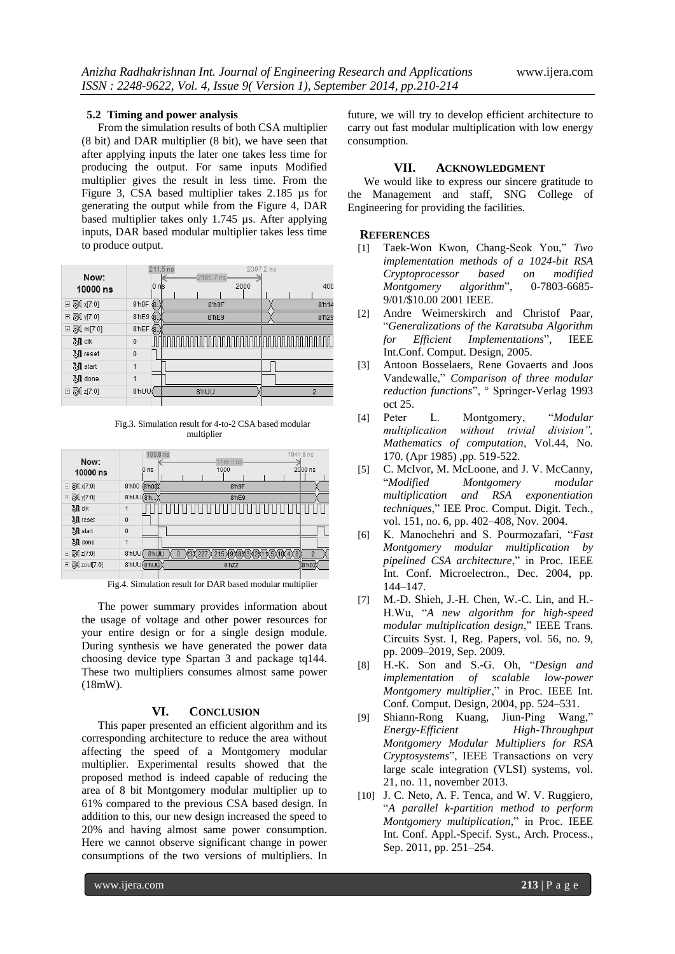### **5.2 Timing and power analysis**

From the simulation results of both CSA multiplier (8 bit) and DAR multiplier (8 bit), we have seen that after applying inputs the later one takes less time for producing the output. For same inputs Modified multiplier gives the result in less time. From the Figure 3, CSA based multiplier takes 2.185 µs for generating the output while from the Figure 4, DAR based multiplier takes only 1.745 µs. After applying inputs, DAR based modular multiplier takes less time to produce output.

| Now:               | 211.5 ns    | $2185.7$ ns                              | 2397.2 ns         |
|--------------------|-------------|------------------------------------------|-------------------|
| 10000 ns           | 0 nls       | 2000                                     | 400               |
| □ 7 x[7:0]         | 8'h9F<br>Ġ. | 8'h9F                                    | 8 <sup>n</sup> 14 |
| ⊟ 7Х у[7:0]        | 8'hE9 (8.   | 8'hE9                                    | 8'h29             |
| ⊞ @ m[7:0]         | $8$ hEF $6$ |                                          |                   |
| <b>別</b> clk       | $\mathbf 0$ | <u> mmnnnnnnnnnnnnnnnnnnnnnnnnnnnnnn</u> |                   |
| <b>湖</b> reset     | $\mathbf 0$ |                                          |                   |
| M start            | 1           |                                          |                   |
| <b>测</b> done      | 1           |                                          |                   |
| <b>□ ③</b> 【z[7:0] | 8'hUU       | 8'hUU                                    | 2                 |
|                    |             |                                          |                   |

Fig.3. Simulation result for 4-to-2 CSA based modular multiplier

| Now:<br>10000 ns  | 199.8 ns<br>0 <sub>ns</sub> | 1944.8 ns<br>1745.0 ns<br>2000 ns<br>1000                    |
|-------------------|-----------------------------|--------------------------------------------------------------|
| <b>⊞ ③(x[7:0]</b> | (8 h00<br>8'h00             | 8'h9F                                                        |
| ⊞ @ y[7:0]        | 8'hUU(8'h.                  | 8'hE9                                                        |
| <b>別</b> clk      | 1                           |                                                              |
| <b>M</b> reset    | $\overline{0}$              |                                                              |
| <b>观</b> start    | $\mathbf 0$                 |                                                              |
| <b>湖</b> done     | 1                           |                                                              |
| ⊞ 7 z[7:0]        | 8'hUU<br>8'hWU              | 215 0908030201<br>4X8<br>115X1<br>$\overline{2}$<br>$\theta$ |
|                   | 8'hUU(8'hUU)                | (8'h02<br>8'hZZ                                              |
|                   |                             |                                                              |

Fig.4. Simulation result for DAR based modular multiplier

The power summary provides information about the usage of voltage and other power resources for your entire design or for a single design module. During synthesis we have generated the power data choosing device type Spartan 3 and package tq144. These two multipliers consumes almost same power (18mW).

# **VI. CONCLUSION**

This paper presented an efficient algorithm and its corresponding architecture to reduce the area without affecting the speed of a Montgomery modular multiplier. Experimental results showed that the proposed method is indeed capable of reducing the area of 8 bit Montgomery modular multiplier up to 61% compared to the previous CSA based design. In addition to this, our new design increased the speed to 20% and having almost same power consumption. Here we cannot observe significant change in power consumptions of the two versions of multipliers. In

future, we will try to develop efficient architecture to carry out fast modular multiplication with low energy consumption.

### **VII. ACKNOWLEDGMENT**

We would like to express our sincere gratitude to the Management and staff, SNG College of Engineering for providing the facilities.

### **REFERENCES**

- [1] Taek-Won Kwon, Chang-Seok You," *Two implementation methods of a 1024-bit RSA Cryptoprocessor based on modified Montgomery algorithm*‖, 0-7803-6685- 9/01/\$10.00 2001 IEEE.
- [2] Andre Weimerskirch and Christof Paar, ―*Generalizations of the Karatsuba Algorithm for Efficient Implementations*‖, IEEE Int.Conf. Comput. Design, 2005.
- [3] Antoon Bosselaers, Rene Govaerts and Joos Vandewalle," *Comparison of three modular reduction functions*‖, ° Springer-Verlag 1993 oct 25.
- [4] Peter L. Montgomery, ―*Modular multiplication without trivial division", Mathematics of computation*, Vol.44, No. 170. (Apr 1985) ,pp. 519-522.
- [5] C. McIvor, M. McLoone, and J. V. McCanny, ―*Modified Montgomery modular multiplication and RSA exponentiation techniques*,‖ IEE Proc. Comput. Digit. Tech., vol. 151, no. 6, pp. 402–408, Nov. 2004.
- [6] K. Manochehri and S. Pourmozafari, "Fast *Montgomery modular multiplication by pipelined CSA architecture*," in Proc. IEEE Int. Conf. Microelectron., Dec. 2004, pp. 144–147.
- [7] M.-D. Shieh, J.-H. Chen, W.-C. Lin, and H.- H.Wu, ―*A new algorithm for high-speed modular multiplication design*," IEEE Trans. Circuits Syst. I, Reg. Papers, vol. 56, no. 9, pp. 2009–2019, Sep. 2009.
- [8] H.-K. Son and S.-G. Oh, "Design and *implementation of scalable low-power Montgomery multiplier*," in Proc. IEEE Int. Conf. Comput. Design, 2004, pp. 524–531.
- [9] Shiann-Rong Kuang, Jiun-Ping Wang," *Energy-Efficient High-Throughput Montgomery Modular Multipliers for RSA Cryptosystems*‖, IEEE Transactions on very large scale integration (VLSI) systems, vol. 21, no. 11, november 2013.
- [10] J. C. Neto, A. F. Tenca, and W. V. Ruggiero, ―*A parallel k-partition method to perform Montgomery multiplication*,‖ in Proc. IEEE Int. Conf. Appl.-Specif. Syst., Arch. Process., Sep. 2011, pp. 251–254.